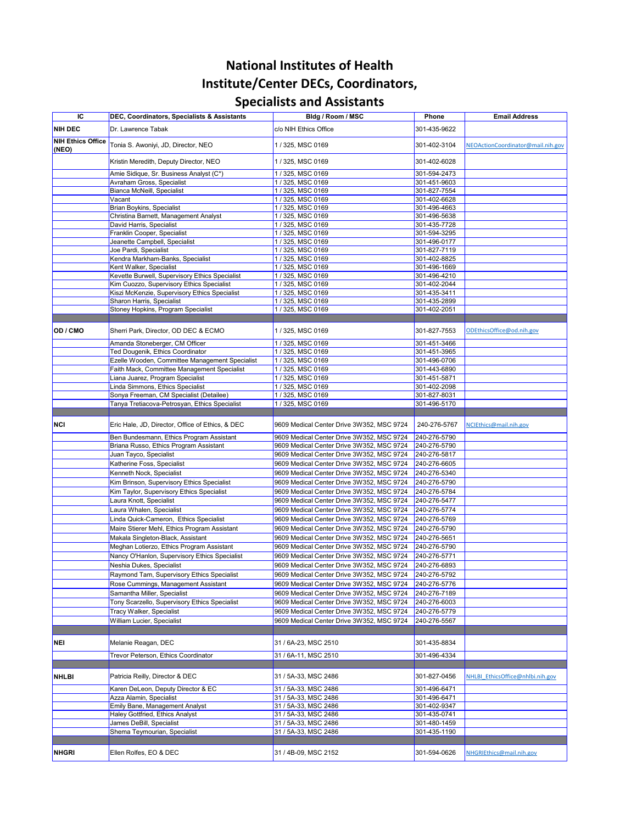| IC                                | DEC, Coordinators, Specialists & Assistants                                              | Bldg / Room / MSC                                                                      | <b>Phone</b>                 | <b>Email Address</b>              |
|-----------------------------------|------------------------------------------------------------------------------------------|----------------------------------------------------------------------------------------|------------------------------|-----------------------------------|
| NIH DEC                           | Dr. Lawrence Tabak                                                                       | c/o NIH Ethics Office                                                                  | 301-435-9622                 |                                   |
| <b>NIH Ethics Office</b><br>(NEO) | Tonia S. Awoniyi, JD, Director, NEO                                                      | / 325, MSC 0169                                                                        | 301-402-3104                 | NEOActionCoordinator@mail.nih.gov |
|                                   | Kristin Meredith, Deputy Director, NEO                                                   | 1 / 325, MSC 0169                                                                      | 301-402-6028                 |                                   |
|                                   | Amie Sidique, Sr. Business Analyst (C*)                                                  | / 325, MSC 0169                                                                        | 301-594-2473                 |                                   |
|                                   | Avraham Gross, Specialist                                                                | / 325, MSC 0169                                                                        | 301-451-9603                 |                                   |
|                                   | Bianca McNeill, Specialist                                                               | / 325, MSC 0169                                                                        | 301-827-7554                 |                                   |
|                                   | Vacant                                                                                   | / 325, MSC 0169                                                                        | 301-402-6628                 |                                   |
|                                   | <b>Brian Boykins, Specialist</b>                                                         | /325, MSC 0169                                                                         | 301-496-4663                 |                                   |
|                                   | Christina Barnett, Management Analyst                                                    | /325, MSC 0169                                                                         | 301-496-5638                 |                                   |
|                                   | David Harris, Specialist                                                                 | / 325, MSC 0169                                                                        | 301-435-7728                 |                                   |
|                                   | Franklin Cooper, Specialist<br>Jeanette Campbell, Specialist                             | /325, MSC 0169<br>/ 325, MSC 0169                                                      | 301-594-3295<br>301-496-0177 |                                   |
|                                   | Joe Pardi, Specialist                                                                    | / 325, MSC 0169                                                                        | 301-827-7119                 |                                   |
|                                   | Kendra Markham-Banks, Specialist                                                         | /325, MSC 0169                                                                         | 301-402-8825                 |                                   |
|                                   | Kent Walker, Specialist                                                                  | 1 / 325, MSC 0169                                                                      | 301-496-1669                 |                                   |
|                                   | Kevette Burwell, Supervisory Ethics Specialist                                           | / 325, MSC 0169                                                                        | 301-496-4210                 |                                   |
|                                   | Kim Cuozzo, Supervisory Ethics Specialist                                                | / 325, MSC 0169                                                                        | 301-402-2044                 |                                   |
|                                   | Kiszi McKenzie, Supervisory Ethics Specialist                                            | /325, MSC 0169                                                                         | 301-435-3411                 |                                   |
|                                   | Sharon Harris, Specialist                                                                | /325, MSC 0169                                                                         | 301-435-2899                 |                                   |
|                                   | Stoney Hopkins, Program Specialist                                                       | /325, MSC 0169                                                                         | 301-402-2051                 |                                   |
|                                   |                                                                                          |                                                                                        |                              |                                   |
| OD / CMO                          | Sherri Park, Director, OD DEC & ECMO                                                     | 1 / 325, MSC 0169                                                                      | 301-827-7553                 | ODEthicsOffice@od.nih.gov         |
|                                   | Amanda Stoneberger, CM Officer                                                           | / 325, MSC 0169                                                                        | 301-451-3466                 |                                   |
|                                   | Ted Dougenik, Ethics Coordinator                                                         | / 325, MSC 0169                                                                        | 301-451-3965                 |                                   |
|                                   | Ezelle Wooden, Committee Management Specialist                                           | / 325, MSC 0169                                                                        | 301-496-0706                 |                                   |
|                                   | Faith Mack, Committee Management Specialist                                              | / 325, MSC 0169                                                                        | 301-443-6890                 |                                   |
|                                   | Liana Juarez, Program Specialist                                                         | 1 / 325, MSC 0169                                                                      | 301-451-5871                 |                                   |
|                                   | Linda Simmons, Ethics Specialist                                                         | 1 / 325, MSC 0169                                                                      | 301-402-2098                 |                                   |
|                                   | Sonya Freeman, CM Specialist (Detailee)<br>Tanya Tretiacova-Petrosyan, Ethics Specialist | 1 / 325, MSC 0169<br>1 / 325, MSC 0169                                                 | 301-827-8031<br>301-496-5170 |                                   |
|                                   |                                                                                          |                                                                                        |                              |                                   |
| <b>NCI</b>                        | Eric Hale, JD, Director, Office of Ethics, & DEC                                         | 9609 Medical Center Drive 3W352, MSC 9724                                              | 240-276-5767                 | NCIEthics@mail.nih.gov            |
|                                   |                                                                                          |                                                                                        |                              |                                   |
|                                   | Ben Bundesmann, Ethics Program Assistant<br>Briana Russo, Ethics Program Assistant       | 9609 Medical Center Drive 3W352, MSC 9724<br>9609 Medical Center Drive 3W352, MSC 9724 | 240-276-5790<br>240-276-5790 |                                   |
|                                   | Juan Tayco, Specialist                                                                   | 9609 Medical Center Drive 3W352, MSC 9724                                              | 240-276-5817                 |                                   |
|                                   | Katherine Foss, Specialist                                                               | 9609 Medical Center Drive 3W352, MSC 9724                                              | 240-276-6605                 |                                   |
|                                   | Kenneth Nock, Specialist                                                                 | 9609 Medical Center Drive 3W352, MSC 9724                                              | 240-276-5340                 |                                   |
|                                   | Kim Brinson, Supervisory Ethics Specialist                                               | 9609 Medical Center Drive 3W352, MSC 9724                                              | 240-276-5790                 |                                   |
|                                   | Kim Taylor, Supervisory Ethics Specialist                                                | 9609 Medical Center Drive 3W352, MSC 9724                                              | 240-276-5784                 |                                   |
|                                   | Laura Knott, Specialist                                                                  | 9609 Medical Center Drive 3W352, MSC 9724                                              | 240-276-5477                 |                                   |
|                                   | Laura Whalen, Specialist                                                                 | 9609 Medical Center Drive 3W352, MSC 9724                                              | 240-276-5774                 |                                   |
|                                   | inda Quick-Cameron, Ethics Specialist                                                    | 9609 Medical Center Drive 3W352, MSC 9724                                              | 240-276-5769                 |                                   |
|                                   | Maire Stierer Mehl, Ethics Program Assistant                                             | 9609 Medical Center Drive 3W352, MSC 9724                                              | 240-276-5790                 |                                   |
|                                   | Makala Singleton-Black, Assistant                                                        | 9609 Medical Center Drive 3W352, MSC 9724                                              | 240-276-5651                 |                                   |
|                                   | Meghan Lotierzo, Ethics Program Assistant                                                | 9609 Medical Center Drive 3W352, MSC 9724                                              | 240-276-5790                 |                                   |
|                                   | Nancy O'Hanlon, Supervisory Ethics Specialist                                            | 9609 Medical Center Drive 3W352, MSC 9724                                              | 240-276-5771                 |                                   |
|                                   | Neshia Dukes, Specialist                                                                 | 9609 Medical Center Drive 3W352, MSC 9724                                              | 240-276-6893                 |                                   |
|                                   | Raymond Tam, Supervisory Ethics Specialist                                               | 9609 Medical Center Drive 3W352, MSC 9724                                              | 240-276-5792                 |                                   |
|                                   | Rose Cummings, Management Assistant                                                      | 9609 Medical Center Drive 3W352, MSC 9724                                              | 240-276-5776                 |                                   |
|                                   | Samantha Miller, Specialist                                                              | 9609 Medical Center Drive 3W352, MSC 9724                                              | 240-276-7189                 |                                   |
|                                   | Tony Scarzello, Supervisory Ethics Specialist                                            | 9609 Medical Center Drive 3W352, MSC 9724                                              | 240-276-6003                 |                                   |
|                                   | <b>Tracy Walker, Specialist</b>                                                          | 9609 Medical Center Drive 3W352, MSC 9724                                              | 240-276-5779                 |                                   |
|                                   | William Lucier, Specialist                                                               | 9609 Medical Center Drive 3W352, MSC 9724                                              | 240-276-5567                 |                                   |
|                                   |                                                                                          |                                                                                        |                              |                                   |
| NEI                               | Melanie Reagan, DEC                                                                      | 31 / 6A-23, MSC 2510                                                                   | 301-435-8834                 |                                   |
|                                   |                                                                                          |                                                                                        |                              |                                   |
|                                   | Trevor Peterson, Ethics Coordinator                                                      | 31 / 6A-11, MSC 2510                                                                   | 301-496-4334                 |                                   |
| <b>NHLBI</b>                      | Patricia Reilly, Director & DEC                                                          | 31 / 5A-33, MSC 2486                                                                   | 301-827-0456                 | NHLBI EthicsOffice@nhlbi.nih.gov  |
|                                   | Karen DeLeon, Deputy Director & EC                                                       | 31 / 5A-33, MSC 2486                                                                   | 301-496-6471                 |                                   |
|                                   | Azza Alamin, Specialist                                                                  | 31 / 5A-33, MSC 2486                                                                   | 301-496-6471                 |                                   |
|                                   | <b>Emily Bane, Management Analyst</b>                                                    | 31 / 5A-33, MSC 2486                                                                   | 301-402-9347                 |                                   |
|                                   | Haley Gottfried, Ethics Analyst                                                          | 31 / 5A-33, MSC 2486                                                                   | 301-435-0741                 |                                   |
|                                   | James DeBill, Specialist                                                                 | 31 / 5A-33, MSC 2486                                                                   | 301-480-1459                 |                                   |
|                                   | Shema Teymourian, Specialist                                                             | 31 / 5A-33, MSC 2486                                                                   | 301-435-1190                 |                                   |
|                                   |                                                                                          |                                                                                        |                              |                                   |
| NHGRI                             | Ellen Rolfes, EO & DEC                                                                   | 31 / 4B-09, MSC 2152                                                                   | 301-594-0626                 | NHGRIEthics@mail.nih.gov          |

## **National Institutes of Health Institute/Center DECs, Coordinators,**

## **Specialists and Assistants**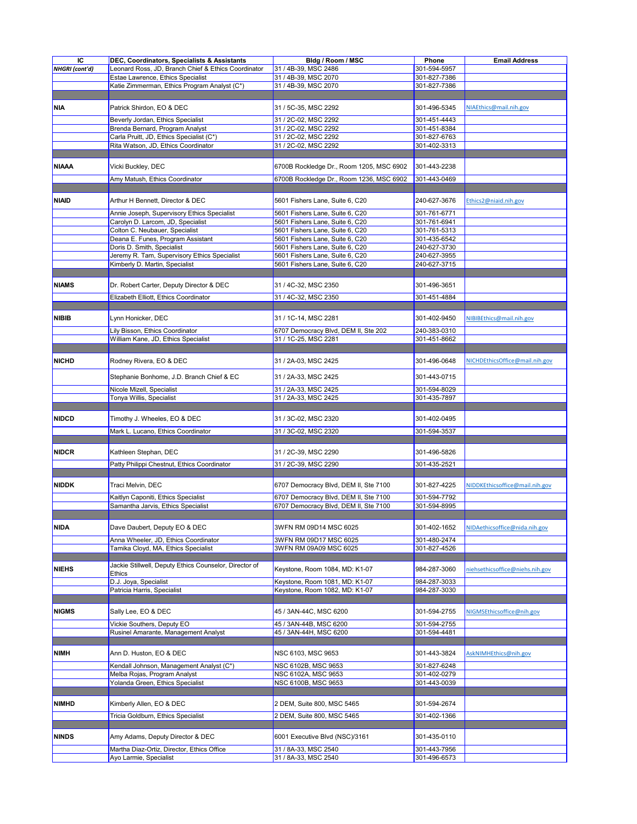| IC                    | <b>DEC, Coordinators, Specialists &amp; Assistants</b>               | Bldg / Room / MSC                            | <b>Phone</b>                 | <b>Email Address</b>            |
|-----------------------|----------------------------------------------------------------------|----------------------------------------------|------------------------------|---------------------------------|
|                       |                                                                      |                                              |                              |                                 |
| <b>NHGRI</b> (cont'd) | Leonard Ross, JD, Branch Chief & Ethics Coordinator                  | 31 / 4B-39, MSC 2486                         | 301-594-5957                 |                                 |
|                       | Estae Lawrence, Ethics Specialist                                    | 31 / 4B-39, MSC 2070                         | 301-827-7386                 |                                 |
|                       | Katie Zimmerman, Ethics Program Analyst (C*)                         | 31 / 4B-39, MSC 2070                         | 301-827-7386                 |                                 |
|                       |                                                                      |                                              |                              |                                 |
|                       |                                                                      |                                              |                              |                                 |
| <b>NIA</b>            | Patrick Shirdon, EO & DEC                                            | 31 / 5C-35, MSC 2292                         | 301-496-5345                 | NIAEthics@mail.nih.gov          |
|                       |                                                                      |                                              |                              |                                 |
|                       | Beverly Jordan, Ethics Specialist                                    | 31 / 2C-02, MSC 2292                         | 301-451-4443                 |                                 |
|                       | Brenda Bernard, Program Analyst                                      | 31 / 2C-02, MSC 2292                         | 301-451-8384                 |                                 |
|                       | Carla Pruitt, JD, Ethics Specialist (C*)                             | 31 / 2C-02, MSC 2292                         | 301-827-6763                 |                                 |
|                       | Rita Watson, JD, Ethics Coordinator                                  | 31 / 2C-02, MSC 2292                         | 301-402-3313                 |                                 |
|                       |                                                                      |                                              |                              |                                 |
|                       |                                                                      |                                              |                              |                                 |
| <b>NIAAA</b>          | Vicki Buckley, DEC                                                   | 6700B Rockledge Dr., Room 1205, MSC 6902     | 301-443-2238                 |                                 |
|                       |                                                                      |                                              |                              |                                 |
|                       | Amy Matush, Ethics Coordinator                                       | 6700B Rockledge Dr., Room 1236, MSC 6902     | 301-443-0469                 |                                 |
|                       |                                                                      |                                              |                              |                                 |
|                       |                                                                      |                                              |                              |                                 |
| <b>NIAID</b>          | Arthur H Bennett, Director & DEC                                     | 5601 Fishers Lane, Suite 6, C20              | 240-627-3676                 | Ethics2@niaid.nih.gov           |
|                       |                                                                      |                                              |                              |                                 |
|                       | Annie Joseph, Supervisory Ethics Specialist                          | 5601 Fishers Lane, Suite 6, C20              | 301-761-6771                 |                                 |
|                       | Carolyn D. Larcom, JD, Specialist                                    | 5601 Fishers Lane, Suite 6, C20              | 301-761-6941                 |                                 |
|                       | Colton C. Neubauer, Specialist                                       | 5601 Fishers Lane, Suite 6, C20              | 301-761-5313                 |                                 |
|                       |                                                                      |                                              |                              |                                 |
|                       | Deana E. Funes, Program Assistant                                    | 5601 Fishers Lane, Suite 6, C20              | 301-435-6542                 |                                 |
|                       | Doris D. Smith, Specialist                                           | 5601 Fishers Lane, Suite 6, C20              | 240-627-3730                 |                                 |
|                       | Jeremy R. Tam, Supervisory Ethics Specialist                         | 5601 Fishers Lane, Suite 6, C20              | 240-627-3955                 |                                 |
|                       | Kimberly D. Martin, Specialist                                       | 5601 Fishers Lane, Suite 6, C20              | 240-627-3715                 |                                 |
|                       |                                                                      |                                              |                              |                                 |
|                       |                                                                      |                                              |                              |                                 |
| <b>NIAMS</b>          | Dr. Robert Carter, Deputy Director & DEC                             | 31 / 4C-32, MSC 2350                         | 301-496-3651                 |                                 |
|                       |                                                                      |                                              |                              |                                 |
|                       | Elizabeth Elliott, Ethics Coordinator                                | 31 / 4C-32, MSC 2350                         | 301-451-4884                 |                                 |
|                       |                                                                      |                                              |                              |                                 |
|                       |                                                                      |                                              |                              |                                 |
| NIBIB                 | ynn Honicker, DEC                                                    | 31 / 1C-14, MSC 2281                         | 301-402-9450                 | NIBIBEthics@mail.nih.gov        |
|                       |                                                                      | 6707 Democracy Blvd, DEM II, Ste 202         | 240-383-0310                 |                                 |
|                       | Lily Bisson, Ethics Coordinator                                      |                                              |                              |                                 |
|                       | William Kane, JD, Ethics Specialist                                  | 31 / 1C-25, MSC 2281                         | 301-451-8662                 |                                 |
|                       |                                                                      |                                              |                              |                                 |
|                       |                                                                      |                                              |                              |                                 |
| <b>NICHD</b>          | Rodney Rivera, EO & DEC                                              | 31 / 2A-03, MSC 2425                         | 301-496-0648                 | NICHDEthicsOffice@mail.nih.gov  |
|                       |                                                                      |                                              |                              |                                 |
|                       | Stephanie Bonhome, J.D. Branch Chief & EC                            | 31 / 2A-33, MSC 2425                         | 301-443-0715                 |                                 |
|                       |                                                                      |                                              |                              |                                 |
|                       | Nicole Mizell, Specialist                                            | 31 / 2A-33, MSC 2425                         | 301-594-8029                 |                                 |
|                       | Tonya Willis, Specialist                                             | 31 / 2A-33, MSC 2425                         | 301-435-7897                 |                                 |
|                       |                                                                      |                                              |                              |                                 |
|                       |                                                                      |                                              |                              |                                 |
| <b>NIDCD</b>          | Timothy J. Wheeles, EO & DEC                                         | 31 / 3C-02, MSC 2320                         | 301-402-0495                 |                                 |
|                       | Mark L. Lucano, Ethics Coordinator                                   | 31 / 3C-02, MSC 2320                         |                              |                                 |
|                       |                                                                      |                                              | 301-594-3537                 |                                 |
|                       |                                                                      |                                              |                              |                                 |
| <b>NIDCR</b>          | Kathleen Stephan, DEC                                                | 31 / 2C-39, MSC 2290                         | 301-496-5826                 |                                 |
|                       |                                                                      |                                              |                              |                                 |
|                       | Patty Philippi Chestnut, Ethics Coordinator                          | 31 / 2C-39, MSC 2290                         | 301-435-2521                 |                                 |
|                       |                                                                      |                                              |                              |                                 |
|                       |                                                                      |                                              |                              |                                 |
| NIDDK                 | Traci Melvin, DEC                                                    | 6707 Democracy Blvd, DEM II, Ste 7100        | 301-827-4225                 | NIDDKEthicsoffice@mail.nih.gov  |
|                       |                                                                      |                                              |                              |                                 |
|                       | Kaitlyn Caponiti, Ethics Specialist                                  | 6707 Democracy Blvd, DEM II, Ste 7100        | 301-594-7792                 |                                 |
|                       | Samantha Jarvis, Ethics Specialist                                   | 6707 Democracy Blvd, DEM II, Ste 7100        | 301-594-8995                 |                                 |
|                       |                                                                      |                                              |                              |                                 |
|                       |                                                                      |                                              |                              |                                 |
| <b>NIDA</b>           | Dave Daubert, Deputy EO & DEC                                        | 3WFN RM 09D14 MSC 6025                       | 301-402-1652                 | NIDAethicsoffice@nida.nih.gov   |
|                       |                                                                      |                                              |                              |                                 |
|                       |                                                                      |                                              |                              |                                 |
|                       | Anna Wheeler, JD, Ethics Coordinator                                 | 3WFN RM 09D17 MSC 6025                       | 301-480-2474                 |                                 |
|                       | Tamika Cloyd, MA, Ethics Specialist                                  | 3WFN RM 09A09 MSC 6025                       | 301-827-4526                 |                                 |
|                       |                                                                      |                                              |                              |                                 |
|                       |                                                                      |                                              |                              |                                 |
| <b>NIEHS</b>          | Jackie Stillwell, Deputy Ethics Counselor, Director of               | Keystone, Room 1084, MD: K1-07               | 984-287-3060                 | niehsethicsoffice@niehs.nih.gov |
|                       | <b>Ethics</b>                                                        |                                              |                              |                                 |
|                       | D.J. Joya, Specialist                                                | Keystone, Room 1081, MD: K1-07               | 984-287-3033                 |                                 |
|                       | Patricia Harris, Specialist                                          | Keystone, Room 1082, MD: K1-07               | 984-287-3030                 |                                 |
|                       |                                                                      |                                              |                              |                                 |
|                       |                                                                      |                                              |                              |                                 |
| <b>NIGMS</b>          | Sally Lee, EO & DEC                                                  | 45 / 3AN-44C, MSC 6200                       | 301-594-2755                 | NIGMSEthicsoffice@nih.gov       |
|                       |                                                                      |                                              |                              |                                 |
|                       | Vickie Southers, Deputy EO                                           | 45 / 3AN-44B, MSC 6200                       | 301-594-2755                 |                                 |
|                       | Rusinel Amarante, Management Analyst                                 | 45 / 3AN-44H, MSC 6200                       | 301-594-4481                 |                                 |
|                       |                                                                      |                                              |                              |                                 |
|                       |                                                                      |                                              |                              |                                 |
| <b>NIMH</b>           | Ann D. Huston, EO & DEC                                              | NSC 6103, MSC 9653                           | 301-443-3824                 | AskNIMHEthics@nih.gov           |
|                       |                                                                      |                                              |                              |                                 |
|                       | Kendall Johnson, Management Analyst (C*)                             | NSC 6102B, MSC 9653                          | 301-827-6248                 |                                 |
|                       | Melba Rojas, Program Analyst                                         | <b>NSC 6102A, MSC 9653</b>                   | 301-402-0279                 |                                 |
|                       | Yolanda Green, Ethics Specialist                                     | NSC 6100B, MSC 9653                          | 301-443-0039                 |                                 |
|                       |                                                                      |                                              |                              |                                 |
|                       |                                                                      |                                              |                              |                                 |
| <b>NIMHD</b>          | Kimberly Allen, EO & DEC                                             | 2 DEM, Suite 800, MSC 5465                   | 301-594-2674                 |                                 |
|                       |                                                                      |                                              |                              |                                 |
|                       | Tricia Goldburn, Ethics Specialist                                   | 2 DEM, Suite 800, MSC 5465                   | 301-402-1366                 |                                 |
|                       |                                                                      |                                              |                              |                                 |
|                       |                                                                      |                                              |                              |                                 |
| <b>NINDS</b>          | Amy Adams, Deputy Director & DEC                                     | 6001 Executive Blvd (NSC)/3161               | 301-435-0110                 |                                 |
|                       |                                                                      |                                              |                              |                                 |
|                       | Martha Diaz-Ortiz, Director, Ethics Office<br>Ayo Larmie, Specialist | 31 / 8A-33, MSC 2540<br>31 / 8A-33, MSC 2540 | 301-443-7956<br>301-496-6573 |                                 |